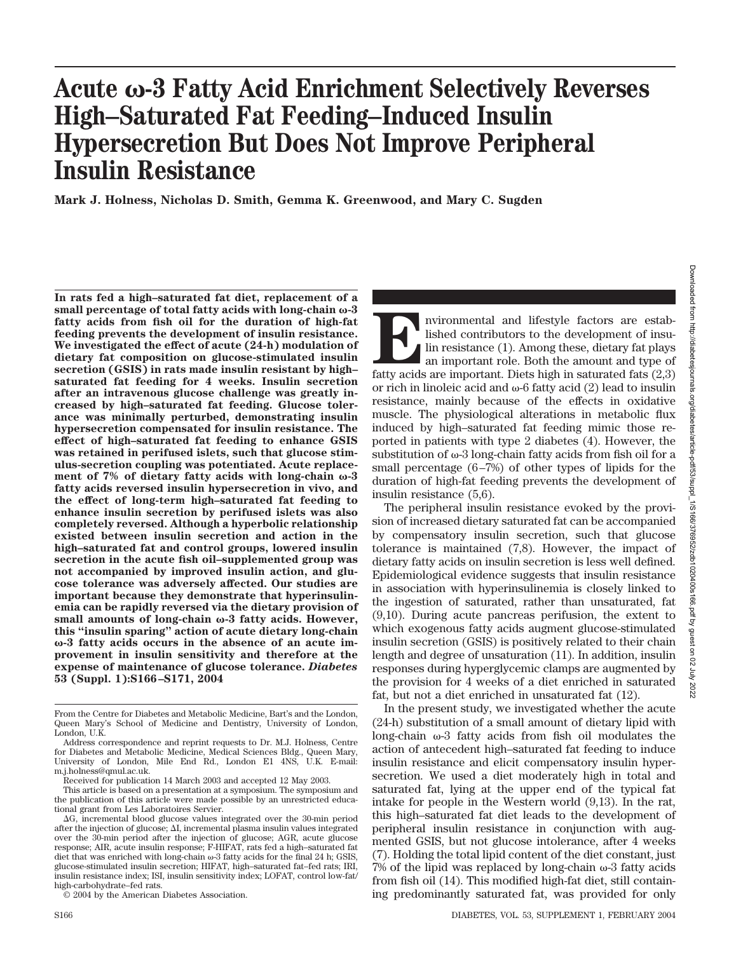# **Acute -3 Fatty Acid Enrichment Selectively Reverses High–Saturated Fat Feeding–Induced Insulin Hypersecretion But Does Not Improve Peripheral Insulin Resistance**

**Mark J. Holness, Nicholas D. Smith, Gemma K. Greenwood, and Mary C. Sugden**

**In rats fed a high–saturated fat diet, replacement of a small percentage of total fatty acids with long-chain -3 fatty acids from fish oil for the duration of high-fat feeding prevents the development of insulin resistance. We investigated the effect of acute (24-h) modulation of dietary fat composition on glucose-stimulated insulin secretion (GSIS) in rats made insulin resistant by high– saturated fat feeding for 4 weeks. Insulin secretion after an intravenous glucose challenge was greatly increased by high–saturated fat feeding. Glucose tolerance was minimally perturbed, demonstrating insulin hypersecretion compensated for insulin resistance. The effect of high–saturated fat feeding to enhance GSIS was retained in perifused islets, such that glucose stimulus-secretion coupling was potentiated. Acute replace**ment of 7% of dietary fatty acids with long-chain  $\omega$ -3 **fatty acids reversed insulin hypersecretion in vivo, and the effect of long-term high–saturated fat feeding to enhance insulin secretion by perifused islets was also completely reversed. Although a hyperbolic relationship existed between insulin secretion and action in the high–saturated fat and control groups, lowered insulin secretion in the acute fish oil–supplemented group was not accompanied by improved insulin action, and glucose tolerance was adversely affected. Our studies are important because they demonstrate that hyperinsulinemia can be rapidly reversed via the dietary provision of** small amounts of long-chain ω-3 fatty acids. However, **this "insulin sparing" action of acute dietary long-chain -3 fatty acids occurs in the absence of an acute improvement in insulin sensitivity and therefore at the expense of maintenance of glucose tolerance.** *Diabetes* **53 (Suppl. 1):S166–S171, 2004**

© 2004 by the American Diabetes Association.

Invironmental and lifestyle factors are estab-<br>lished contributors to the development of insulin resistance (1). Among these, dietary fat plays<br>an important role. Both the amount and type of<br>fatty acids are important. Diet lished contributors to the development of insulin resistance (1). Among these, dietary fat plays an important role. Both the amount and type of fatty acids are important. Diets high in saturated fats (2,3) or rich in linoleic acid and  $\omega$ -6 fatty acid (2) lead to insulin resistance, mainly because of the effects in oxidative muscle. The physiological alterations in metabolic flux induced by high–saturated fat feeding mimic those reported in patients with type 2 diabetes (4). However, the substitution of  $\omega$ -3 long-chain fatty acids from fish oil for a small percentage (6–7%) of other types of lipids for the duration of high-fat feeding prevents the development of insulin resistance (5,6).

The peripheral insulin resistance evoked by the provision of increased dietary saturated fat can be accompanied by compensatory insulin secretion, such that glucose tolerance is maintained (7,8). However, the impact of dietary fatty acids on insulin secretion is less well defined. Epidemiological evidence suggests that insulin resistance in association with hyperinsulinemia is closely linked to the ingestion of saturated, rather than unsaturated, fat (9,10). During acute pancreas perifusion, the extent to which exogenous fatty acids augment glucose-stimulated insulin secretion (GSIS) is positively related to their chain length and degree of unsaturation (11). In addition, insulin responses during hyperglycemic clamps are augmented by the provision for 4 weeks of a diet enriched in saturated fat, but not a diet enriched in unsaturated fat (12).

In the present study, we investigated whether the acute (24-h) substitution of a small amount of dietary lipid with long-chain  $\omega$ -3 fatty acids from fish oil modulates the action of antecedent high–saturated fat feeding to induce insulin resistance and elicit compensatory insulin hypersecretion. We used a diet moderately high in total and saturated fat, lying at the upper end of the typical fat intake for people in the Western world (9,13). In the rat, this high–saturated fat diet leads to the development of peripheral insulin resistance in conjunction with augmented GSIS, but not glucose intolerance, after 4 weeks (7). Holding the total lipid content of the diet constant, just  $7\%$  of the lipid was replaced by long-chain  $\omega$ -3 fatty acids from fish oil (14). This modified high-fat diet, still containing predominantly saturated fat, was provided for only

From the Centre for Diabetes and Metabolic Medicine, Bart's and the London, Queen Mary's School of Medicine and Dentistry, University of London, London, U.K.

Address correspondence and reprint requests to Dr. M.J. Holness, Centre for Diabetes and Metabolic Medicine, Medical Sciences Bldg., Queen Mary, University of London, Mile End Rd., London E1 4NS, U.K. E-mail: m.j.holness@qmul.ac.uk.

Received for publication 14 March 2003 and accepted 12 May 2003.

This article is based on a presentation at a symposium. The symposium and the publication of this article were made possible by an unrestricted educational grant from Les Laboratoires Servier.

<sup>-</sup>G, incremental blood glucose values integrated over the 30-min period after the injection of glucose;  $\Delta I$ , incremental plasma insulin values integrated over the 30-min period after the injection of glucose; AGR, acute glucose response; AIR, acute insulin response; F-HIFAT, rats fed a high–saturated fat diet that was enriched with long-chain  $\omega$ -3 fatty acids for the final 24 h; GSIS, glucose-stimulated insulin secretion; HIFAT, high–saturated fat–fed rats; IRI, insulin resistance index; ISI, insulin sensitivity index; LOFAT, control low-fat/ high-carbohydrate–fed rats.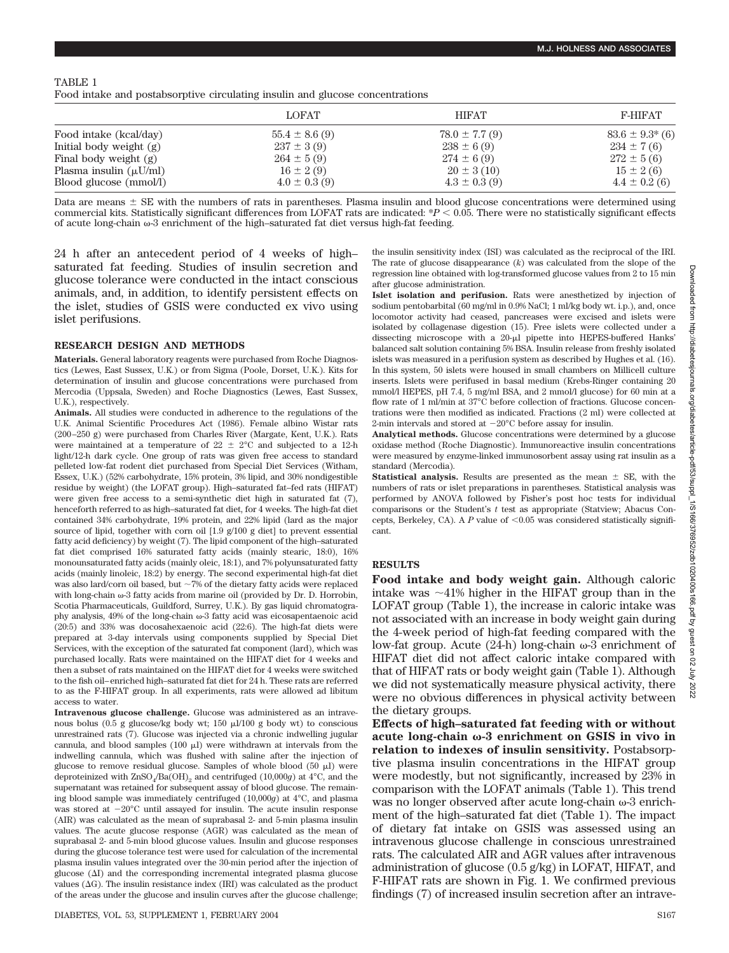#### TABLE 1

Food intake and postabsorptive circulating insulin and glucose concentrations

|                             | <b>LOFAT</b>       | <b>HIFAT</b>      | <b>F-HIFAT</b>        |
|-----------------------------|--------------------|-------------------|-----------------------|
| Food intake (kcal/day)      | $55.4 \pm 8.6$ (9) | $78.0 \pm 7.7(9)$ | $83.6 \pm 9.3^{*}(6)$ |
| Initial body weight $(g)$   | $237 \pm 3(9)$     | $238 \pm 6(9)$    | $234 \pm 7(6)$        |
| Final body weight (g)       | $264 \pm 5(9)$     | $274 \pm 6(9)$    | $272 \pm 5(6)$        |
| Plasma insulin $(\mu U/ml)$ | $16 \pm 2(9)$      | $20 \pm 3(10)$    | $15 \pm 2(6)$         |
| Blood glucose (mmol/l)      | $4.0 \pm 0.3$ (9)  | $4.3 \pm 0.3$ (9) | $4.4 \pm 0.2$ (6)     |

Data are means  $\pm$  SE with the numbers of rats in parentheses. Plasma insulin and blood glucose concentrations were determined using commercial kits. Statistically significant differences from LOFAT rats are indicated: \**P* 0.05. There were no statistically significant effects of acute long-chain  $\omega$ -3 enrichment of the high–saturated fat diet versus high-fat feeding.

24 h after an antecedent period of 4 weeks of high– saturated fat feeding. Studies of insulin secretion and glucose tolerance were conducted in the intact conscious animals, and, in addition, to identify persistent effects on the islet, studies of GSIS were conducted ex vivo using islet perifusions.

#### **RESEARCH DESIGN AND METHODS**

**Materials.** General laboratory reagents were purchased from Roche Diagnostics (Lewes, East Sussex, U.K.) or from Sigma (Poole, Dorset, U.K.). Kits for determination of insulin and glucose concentrations were purchased from Mercodia (Uppsala, Sweden) and Roche Diagnostics (Lewes, East Sussex, U.K.), respectively.

**Animals.** All studies were conducted in adherence to the regulations of the U.K. Animal Scientific Procedures Act (1986). Female albino Wistar rats (200–250 g) were purchased from Charles River (Margate, Kent, U.K.). Rats were maintained at a temperature of  $22 \pm 2^{\circ}$ C and subjected to a 12-h light/12-h dark cycle. One group of rats was given free access to standard pelleted low-fat rodent diet purchased from Special Diet Services (Witham, Essex, U.K.) (52% carbohydrate, 15% protein, 3% lipid, and 30% nondigestible residue by weight) (the LOFAT group). High–saturated fat–fed rats (HIFAT) were given free access to a semi-synthetic diet high in saturated fat (7), henceforth referred to as high–saturated fat diet, for 4 weeks. The high-fat diet contained 34% carbohydrate, 19% protein, and 22% lipid (lard as the major source of lipid, together with corn oil [1.9 g/100 g diet] to prevent essential fatty acid deficiency) by weight (7). The lipid component of the high–saturated fat diet comprised 16% saturated fatty acids (mainly stearic, 18:0), 16% monounsaturated fatty acids (mainly oleic, 18:1), and 7% polyunsaturated fatty acids (mainly linoleic, 18:2) by energy. The second experimental high-fat diet was also lard/corn oil based, but  $\sim$ 7% of the dietary fatty acids were replaced with long-chain  $\omega$ -3 fatty acids from marine oil (provided by Dr. D. Horrobin, Scotia Pharmaceuticals, Guildford, Surrey, U.K.). By gas liquid chromatography analysis,  $49\%$  of the long-chain  $\omega$ -3 fatty acid was eicosapentaenoic acid (20:5) and 33% was docosahexaenoic acid (22:6). The high-fat diets were prepared at 3-day intervals using components supplied by Special Diet Services, with the exception of the saturated fat component (lard), which was purchased locally. Rats were maintained on the HIFAT diet for 4 weeks and then a subset of rats maintained on the HIFAT diet for 4 weeks were switched to the fish oil–enriched high–saturated fat diet for 24 h. These rats are referred to as the F-HIFAT group. In all experiments, rats were allowed ad libitum access to water.

**Intravenous glucose challenge.** Glucose was administered as an intravenous bolus (0.5 g glucose/kg body wt;  $150 \mu\text{J}/100$  g body wt) to conscious unrestrained rats (7). Glucose was injected via a chronic indwelling jugular cannula, and blood samples (100  $\upmu l)$  were withdrawn at intervals from the indwelling cannula, which was flushed with saline after the injection of glucose to remove residual glucose. Samples of whole blood  $(50 \mu)$  were deproteinized with  $ZnSO<sub>4</sub>/Ba(OH)$ <sub>2</sub> and centrifuged (10,000*g*) at 4<sup>°</sup>C, and the supernatant was retained for subsequent assay of blood glucose. The remaining blood sample was immediately centrifuged (10,000*g*) at 4°C, and plasma was stored at  $-20^{\circ}$ C until assayed for insulin. The acute insulin response (AIR) was calculated as the mean of suprabasal 2- and 5-min plasma insulin values. The acute glucose response (AGR) was calculated as the mean of suprabasal 2- and 5-min blood glucose values. Insulin and glucose responses during the glucose tolerance test were used for calculation of the incremental plasma insulin values integrated over the 30-min period after the injection of glucose  $(\Delta I)$  and the corresponding incremental integrated plasma glucose values  $(\Delta G)$ . The insulin resistance index (IRI) was calculated as the product of the areas under the glucose and insulin curves after the glucose challenge; the insulin sensitivity index (ISI) was calculated as the reciprocal of the IRI. The rate of glucose disappearance (*k*) was calculated from the slope of the regression line obtained with log-transformed glucose values from 2 to 15 min after glucose administration.

**Islet isolation and perifusion.** Rats were anesthetized by injection of sodium pentobarbital (60 mg/ml in 0.9% NaCl; 1 ml/kg body wt. i.p.), and, once locomotor activity had ceased, pancreases were excised and islets were isolated by collagenase digestion (15). Free islets were collected under a dissecting microscope with a 20-µl pipette into HEPES-buffered Hanks' balanced salt solution containing 5% BSA. Insulin release from freshly isolated islets was measured in a perifusion system as described by Hughes et al. (16). In this system, 50 islets were housed in small chambers on Millicell culture inserts. Islets were perifused in basal medium (Krebs-Ringer containing 20 mmol/l HEPES, pH 7.4, 5 mg/ml BSA, and 2 mmol/l glucose) for 60 min at a flow rate of 1 ml/min at 37°C before collection of fractions. Glucose concentrations were then modified as indicated. Fractions (2 ml) were collected at 2-min intervals and stored at  $-20^{\circ}$ C before assay for insulin.

**Analytical methods.** Glucose concentrations were determined by a glucose oxidase method (Roche Diagnostic). Immunoreactive insulin concentrations were measured by enzyme-linked immunosorbent assay using rat insulin as a standard (Mercodia).

**Statistical analysis.** Results are presented as the mean  $\pm$  SE, with the numbers of rats or islet preparations in parentheses. Statistical analysis was performed by ANOVA followed by Fisher's post hoc tests for individual comparisons or the Student's *t* test as appropriate (Statview; Abacus Concepts, Berkeley, CA). A  $P$  value of  $\leq 0.05$  was considered statistically significant.

#### **RESULTS**

**Food intake and body weight gain.** Although caloric intake was  $\sim$ 41% higher in the HIFAT group than in the LOFAT group (Table 1), the increase in caloric intake was not associated with an increase in body weight gain during the 4-week period of high-fat feeding compared with the low-fat group. Acute  $(24-h)$  long-chain  $\omega$ -3 enrichment of HIFAT diet did not affect caloric intake compared with that of HIFAT rats or body weight gain (Table 1). Although we did not systematically measure physical activity, there were no obvious differences in physical activity between the dietary groups.

**Effects of high–saturated fat feeding with or without acute long-chain -3 enrichment on GSIS in vivo in relation to indexes of insulin sensitivity.** Postabsorptive plasma insulin concentrations in the HIFAT group were modestly, but not significantly, increased by 23% in comparison with the LOFAT animals (Table 1). This trend was no longer observed after acute long-chain  $\omega$ -3 enrichment of the high–saturated fat diet (Table 1). The impact of dietary fat intake on GSIS was assessed using an intravenous glucose challenge in conscious unrestrained rats. The calculated AIR and AGR values after intravenous administration of glucose (0.5 g/kg) in LOFAT, HIFAT, and F-HIFAT rats are shown in Fig. 1. We confirmed previous findings (7) of increased insulin secretion after an intrave-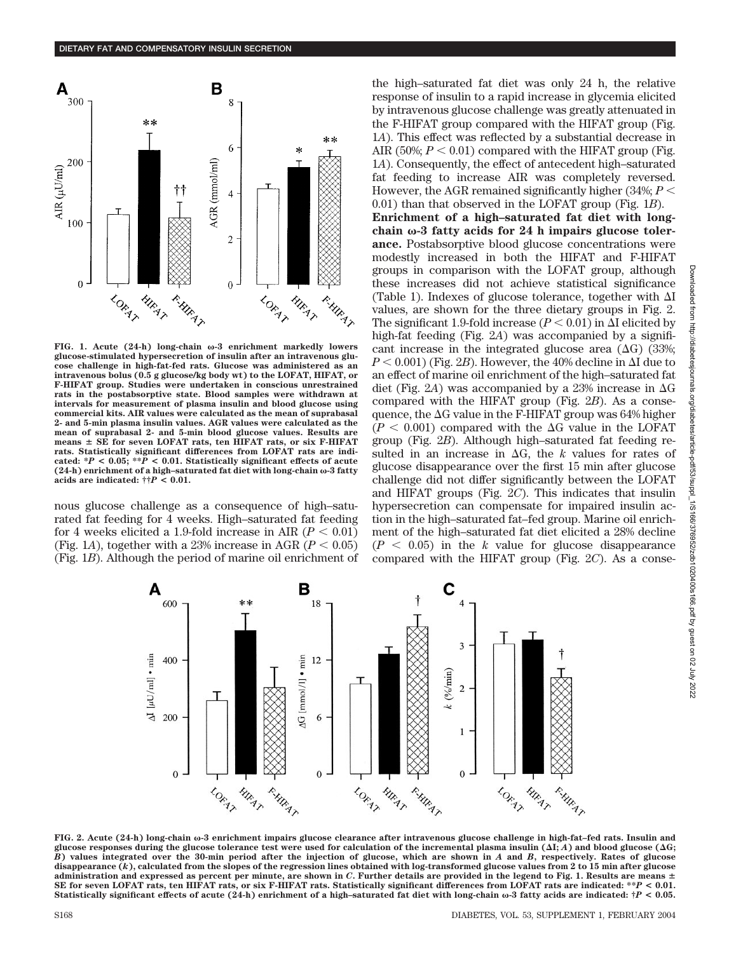

**FIG. 1. Acute (24-h) long-chain** ω-3 enrichment markedly lowers **glucose-stimulated hypersecretion of insulin after an intravenous glucose challenge in high-fat-fed rats. Glucose was administered as an intravenous bolus (0.5 g glucose/kg body wt) to the LOFAT, HIFAT, or F-HIFAT group. Studies were undertaken in conscious unrestrained rats in the postabsorptive state. Blood samples were withdrawn at intervals for measurement of plasma insulin and blood glucose using commercial kits. AIR values were calculated as the mean of suprabasal 2- and 5-min plasma insulin values. AGR values were calculated as the mean of suprabasal 2- and 5-min blood glucose values. Results are** means  $\pm$  SE for seven LOFAT rats, ten HIFAT rats, or six F-HIFAT **rats. Statistically significant differences from LOFAT rats are indicated:**  ${}^*P$  < 0.05;  ${}^{**}P$  < 0.01. Statistically significant effects of acute **(24-h) enrichment of a high–saturated fat diet with long-chain -3 fatty acids are indicated:**  $\dagger \dagger P < 0.01$ .

nous glucose challenge as a consequence of high–saturated fat feeding for 4 weeks. High–saturated fat feeding for 4 weeks elicited a 1.9-fold increase in AIR  $(P < 0.01)$ (Fig. 1*A*), together with a 23% increase in AGR ( $P < 0.05$ ) (Fig. 1*B*). Although the period of marine oil enrichment of the high–saturated fat diet was only 24 h, the relative response of insulin to a rapid increase in glycemia elicited by intravenous glucose challenge was greatly attenuated in the F-HIFAT group compared with the HIFAT group (Fig. 1*A*). This effect was reflected by a substantial decrease in AIR (50%;  $P < 0.01$ ) compared with the HIFAT group (Fig. 1*A*). Consequently, the effect of antecedent high–saturated fat feeding to increase AIR was completely reversed. However, the AGR remained significantly higher  $(34\%; P \leq$ 0.01) than that observed in the LOFAT group (Fig. 1*B*). **Enrichment of a high–saturated fat diet with long-**

chain  $\omega$ -3 fatty acids for 24 h impairs glucose toler**ance.** Postabsorptive blood glucose concentrations were modestly increased in both the HIFAT and F-HIFAT groups in comparison with the LOFAT group, although these increases did not achieve statistical significance (Table 1). Indexes of glucose tolerance, together with  $\Delta I$ values, are shown for the three dietary groups in Fig. 2. The significant 1.9-fold increase  $(P < 0.01)$  in  $\Delta$ I elicited by high-fat feeding (Fig. 2*A*) was accompanied by a significant increase in the integrated glucose area  $(\Delta G)$  (33%;  $P$  < 0.001) (Fig. 2*B*). However, the 40% decline in  $\Delta$ I due to an effect of marine oil enrichment of the high–saturated fat diet (Fig. 2A) was accompanied by a 23% increase in  $\Delta G$ compared with the HIFAT group (Fig. 2*B*). As a consequence, the  $\Delta G$  value in the F-HIFAT group was 64% higher  $(P < 0.001)$  compared with the  $\Delta G$  value in the LOFAT group (Fig. 2*B*). Although high–saturated fat feeding resulted in an increase in  $\Delta G$ , the *k* values for rates of glucose disappearance over the first 15 min after glucose challenge did not differ significantly between the LOFAT and HIFAT groups (Fig. 2*C*). This indicates that insulin hypersecretion can compensate for impaired insulin action in the high–saturated fat–fed group. Marine oil enrichment of the high–saturated fat diet elicited a 28% decline  $(P < 0.05)$  in the *k* value for glucose disappearance compared with the HIFAT group (Fig. 2*C*). As a conse-



**FIG. 2. Acute (24-h) long-chain**  $\omega$ -3 enrichment impairs glucose clearance after intravenous glucose challenge in high-fat–fed rats. Insulin and glucose responses during the glucose tolerance test were used for calculation of the incremental plasma insulin  $(\Delta I; A)$  and blood glucose  $(\Delta G;$ *B***) values integrated over the 30-min period after the injection of glucose, which are shown in** *A* **and** *B***, respectively. Rates of glucose disappearance (***k***), calculated from the slopes of the regression lines obtained with log-transformed glucose values from 2 to 15 min after glucose**  $a$ dministration and expressed as percent per minute, are shown in  $C$ . Further details are provided in the legend to Fig. 1. Results are means  $\pm$ **SE for seven LOFAT rats, ten HIFAT rats, or six F-HIFAT rats. Statistically significant differences from LOFAT rats are indicated: \*\****P* **< 0.01.** Statistically significant effects of acute (24-h) enrichment of a high-saturated fat diet with long-chain  $\omega$ -3 fatty acids are indicated:  $\dagger P$  < 0.05.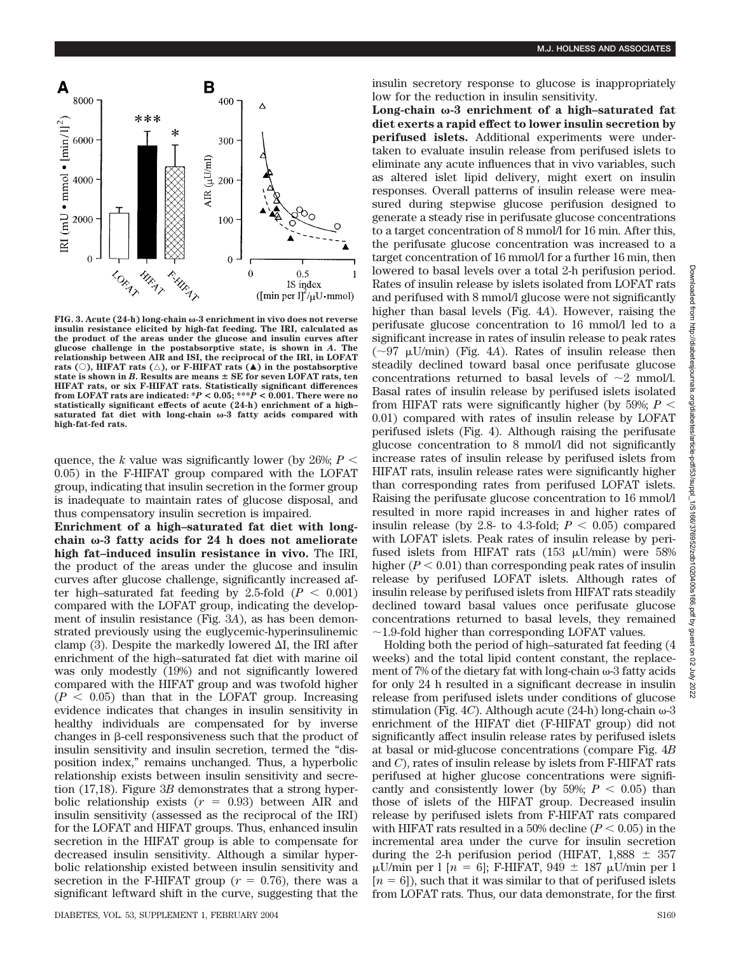

**FIG. 3. Acute (24-h) long-chain -3 enrichment in vivo does not reverse insulin resistance elicited by high-fat feeding. The IRI, calculated as the product of the areas under the glucose and insulin curves after glucose challenge in the postabsorptive state, is shown in** *A***. The relationship between AIR and ISI, the reciprocal of the IRI, in LOFAT** rats ( $\circ$ ), HIFAT rats ( $\triangle$ ), or F-HIFAT rats ( $\triangle$ ) in the postabsorptive state is shown in *B*. Results are means  $\pm$  SE for seven LOFAT rats, ten **HIFAT rats, or six F-HIFAT rats. Statistically significant differences from LOFAT rats are indicated:**  $*P < 0.05$ **;**  $***\dot{P} < 0.001$ **. There were no statistically significant effects of acute (24-h) enrichment of a high–** saturated fat diet with long-chain  $\omega$ -3 fatty acids compared with **high-fat-fed rats.**

quence, the *k* value was significantly lower (by 26%;  $P \leq$ 0.05) in the F-HIFAT group compared with the LOFAT group, indicating that insulin secretion in the former group is inadequate to maintain rates of glucose disposal, and thus compensatory insulin secretion is impaired.

**Enrichment of a high–saturated fat diet with long**chain  $\omega$ -3 fatty acids for 24 h does not ameliorate **high fat–induced insulin resistance in vivo.** The IRI, the product of the areas under the glucose and insulin curves after glucose challenge, significantly increased after high–saturated fat feeding by 2.5-fold  $(P < 0.001)$ compared with the LOFAT group, indicating the development of insulin resistance (Fig. 3*A*), as has been demonstrated previously using the euglycemic-hyperinsulinemic clamp (3). Despite the markedly lowered  $\Delta I$ , the IRI after enrichment of the high–saturated fat diet with marine oil was only modestly (19%) and not significantly lowered compared with the HIFAT group and was twofold higher  $(P < 0.05)$  than that in the LOFAT group. Increasing evidence indicates that changes in insulin sensitivity in healthy individuals are compensated for by inverse changes in  $\beta$ -cell responsiveness such that the product of insulin sensitivity and insulin secretion, termed the "disposition index," remains unchanged. Thus, a hyperbolic relationship exists between insulin sensitivity and secretion (17,18). Figure 3*B* demonstrates that a strong hyperbolic relationship exists  $(r = 0.93)$  between AIR and insulin sensitivity (assessed as the reciprocal of the IRI) for the LOFAT and HIFAT groups. Thus, enhanced insulin secretion in the HIFAT group is able to compensate for decreased insulin sensitivity. Although a similar hyperbolic relationship existed between insulin sensitivity and secretion in the F-HIFAT group ( $r = 0.76$ ), there was a significant leftward shift in the curve, suggesting that the insulin secretory response to glucose is inappropriately low for the reduction in insulin sensitivity.

Long-chain  $\omega$ -3 enrichment of a high-saturated fat **diet exerts a rapid effect to lower insulin secretion by perifused islets.** Additional experiments were undertaken to evaluate insulin release from perifused islets to eliminate any acute influences that in vivo variables, such as altered islet lipid delivery, might exert on insulin responses. Overall patterns of insulin release were measured during stepwise glucose perifusion designed to generate a steady rise in perifusate glucose concentrations to a target concentration of 8 mmol/l for 16 min. After this, the perifusate glucose concentration was increased to a target concentration of 16 mmol/l for a further 16 min, then lowered to basal levels over a total 2-h perifusion period. Rates of insulin release by islets isolated from LOFAT rats and perifused with 8 mmol/l glucose were not significantly higher than basal levels (Fig. 4*A*). However, raising the perifusate glucose concentration to 16 mmol/l led to a significant increase in rates of insulin release to peak rates  $(\sim 97 \mu U/min)$  (Fig. 4*A*). Rates of insulin release then steadily declined toward basal once perifusate glucose concentrations returned to basal levels of  $\sim$ 2 mmol/l. Basal rates of insulin release by perifused islets isolated from HIFAT rats were significantly higher (by 59%;  $P \leq$ 0.01) compared with rates of insulin release by LOFAT perifused islets (Fig. 4). Although raising the perifusate glucose concentration to 8 mmol/l did not significantly increase rates of insulin release by perifused islets from HIFAT rats, insulin release rates were significantly higher than corresponding rates from perifused LOFAT islets. Raising the perifusate glucose concentration to 16 mmol/l resulted in more rapid increases in and higher rates of insulin release (by 2.8- to 4.3-fold;  $P < 0.05$ ) compared with LOFAT islets. Peak rates of insulin release by perifused islets from HIFAT rats  $(153 \mu U/min)$  were 58% higher  $(P < 0.01)$  than corresponding peak rates of insulin release by perifused LOFAT islets. Although rates of insulin release by perifused islets from HIFAT rats steadily declined toward basal values once perifusate glucose concentrations returned to basal levels, they remained  $\sim$ 1.9-fold higher than corresponding LOFAT values.

Holding both the period of high–saturated fat feeding (4 weeks) and the total lipid content constant, the replacement of 7% of the dietary fat with long-chain  $\omega$ -3 fatty acids for only 24 h resulted in a significant decrease in insulin release from perifused islets under conditions of glucose stimulation (Fig.  $4C$ ). Although acute (24-h) long-chain  $\omega$ -3 enrichment of the HIFAT diet (F-HIFAT group) did not significantly affect insulin release rates by perifused islets at basal or mid-glucose concentrations (compare Fig. 4*B* and *C*), rates of insulin release by islets from F-HIFAT rats perifused at higher glucose concentrations were significantly and consistently lower (by 59%;  $P < 0.05$ ) than those of islets of the HIFAT group. Decreased insulin release by perifused islets from F-HIFAT rats compared with HIFAT rats resulted in a 50% decline  $(P < 0.05)$  in the incremental area under the curve for insulin secretion during the 2-h perifusion period (HIFAT,  $1,888 \pm 357$  $\mu$ U/min per l [*n* = 6]; F-HIFAT, 949  $\pm$  187  $\mu$ U/min per l  $[n = 6]$ , such that it was similar to that of perifused islets from LOFAT rats. Thus, our data demonstrate, for the first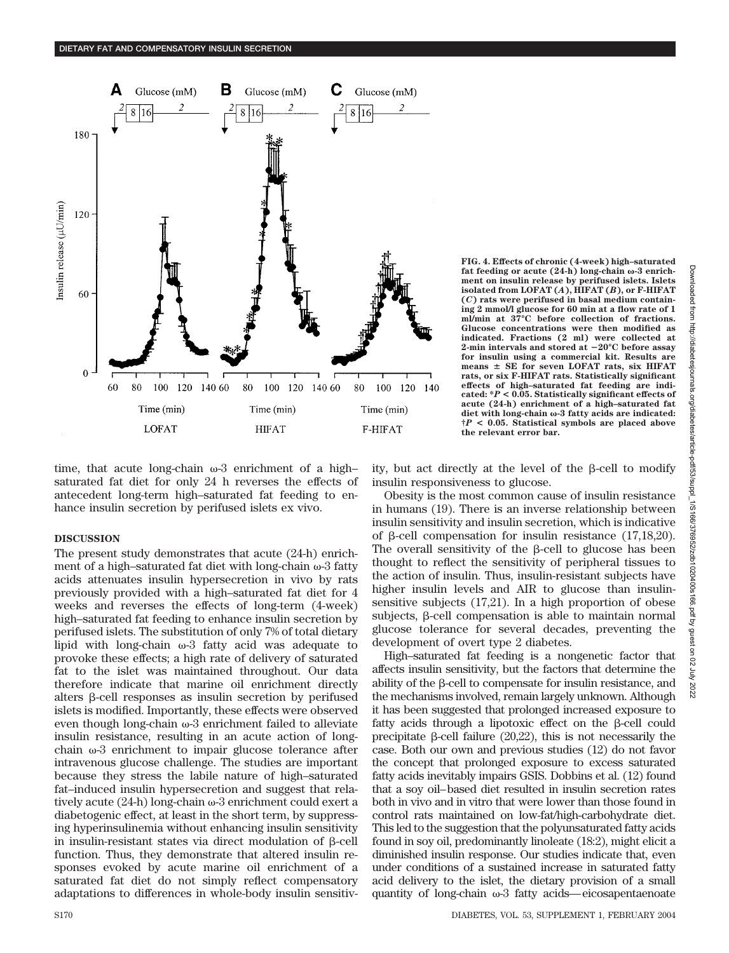

**FIG. 4. Effects of chronic (4-week) high–saturated** fat feeding or acute  $(24-h)$  long-chain  $\omega$ -3 enrich**ment on insulin release by perifused islets. Islets isolated from LOFAT (***A***), HIFAT (***B***), or F-HIFAT (***C***) rats were perifused in basal medium containing 2 mmol/l glucose for 60 min at a flow rate of 1 ml/min at 37°C before collection of fractions. Glucose concentrations were then modified as indicated. Fractions (2 ml) were collected at 2-min intervals and stored at 20°C before assay for insulin using a commercial kit. Results are** means  $\pm$  SE for seven LOFAT rats, six HIFAT **rats, or six F-HIFAT rats. Statistically significant effects of high–saturated fat feeding are indicated: \****P* **< 0.05. Statistically significant effects of acute (24-h) enrichment of a high–saturated fat** diet with long-chain ω-3 fatty acids are indicated: **†***P* **< 0.05. Statistical symbols are placed above the relevant error bar.**

time, that acute long-chain  $\omega$ -3 enrichment of a highsaturated fat diet for only 24 h reverses the effects of antecedent long-term high–saturated fat feeding to enhance insulin secretion by perifused islets ex vivo.

## **DISCUSSION**

The present study demonstrates that acute (24-h) enrichment of a high–saturated fat diet with long-chain  $\omega$ -3 fatty acids attenuates insulin hypersecretion in vivo by rats previously provided with a high–saturated fat diet for 4 weeks and reverses the effects of long-term (4-week) high–saturated fat feeding to enhance insulin secretion by perifused islets. The substitution of only 7% of total dietary lipid with long-chain  $\omega$ -3 fatty acid was adequate to provoke these effects; a high rate of delivery of saturated fat to the islet was maintained throughout. Our data therefore indicate that marine oil enrichment directly alters  $\beta$ -cell responses as insulin secretion by perifused islets is modified. Importantly, these effects were observed even though long-chain  $\omega$ -3 enrichment failed to alleviate insulin resistance, resulting in an acute action of longchain  $\omega$ -3 enrichment to impair glucose tolerance after intravenous glucose challenge. The studies are important because they stress the labile nature of high–saturated fat–induced insulin hypersecretion and suggest that relatively acute  $(24-h)$  long-chain  $\omega$ -3 enrichment could exert a diabetogenic effect, at least in the short term, by suppressing hyperinsulinemia without enhancing insulin sensitivity in insulin-resistant states via direct modulation of  $\beta$ -cell function. Thus, they demonstrate that altered insulin responses evoked by acute marine oil enrichment of a saturated fat diet do not simply reflect compensatory adaptations to differences in whole-body insulin sensitivity, but act directly at the level of the  $\beta$ -cell to modify insulin responsiveness to glucose.

Obesity is the most common cause of insulin resistance in humans (19). There is an inverse relationship between insulin sensitivity and insulin secretion, which is indicative of  $\beta$ -cell compensation for insulin resistance (17,18,20). The overall sensitivity of the  $\beta$ -cell to glucose has been thought to reflect the sensitivity of peripheral tissues to the action of insulin. Thus, insulin-resistant subjects have higher insulin levels and AIR to glucose than insulinsensitive subjects (17,21). In a high proportion of obese subjects,  $\beta$ -cell compensation is able to maintain normal glucose tolerance for several decades, preventing the development of overt type 2 diabetes.

High–saturated fat feeding is a nongenetic factor that affects insulin sensitivity, but the factors that determine the ability of the  $\beta$ -cell to compensate for insulin resistance, and the mechanisms involved, remain largely unknown. Although it has been suggested that prolonged increased exposure to fatty acids through a lipotoxic effect on the  $\beta$ -cell could precipitate  $\beta$ -cell failure (20,22), this is not necessarily the case. Both our own and previous studies (12) do not favor the concept that prolonged exposure to excess saturated fatty acids inevitably impairs GSIS. Dobbins et al. (12) found that a soy oil–based diet resulted in insulin secretion rates both in vivo and in vitro that were lower than those found in control rats maintained on low-fat/high-carbohydrate diet. This led to the suggestion that the polyunsaturated fatty acids found in soy oil, predominantly linoleate (18:2), might elicit a diminished insulin response. Our studies indicate that, even under conditions of a sustained increase in saturated fatty acid delivery to the islet, the dietary provision of a small quantity of long-chain  $\omega$ -3 fatty acids—eicosapentaenoate